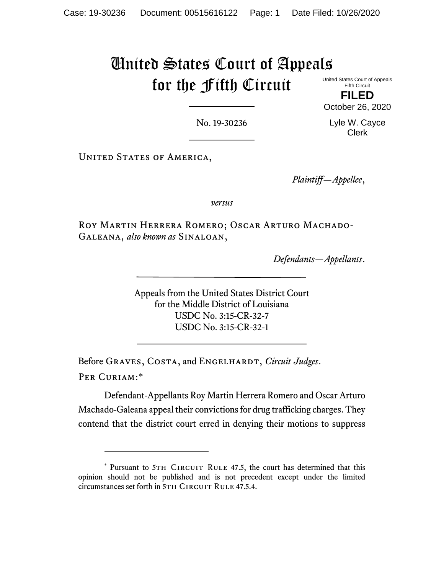# United States Court of Appeals for the Fifth Circuit United States Court of Appeals

Fifth Circuit **FILED**

October 26, 2020

No. 19-30236

Lyle W. Cayce Clerk

UNITED STATES OF AMERICA,

*Plaintiff—Appellee*,

*versus*

Roy Martin Herrera Romero; Oscar Arturo Machado-Galeana, *also known as* Sinaloan,

*Defendants—Appellants*.

Appeals from the United States District Court for the Middle District of Louisiana USDC No. 3:15-CR-32-7 USDC No. 3:15-CR-32-1

Before GRAVES, COSTA, and ENGELHARDT, *Circuit Judges*. Per Curiam:[\\*](#page-0-0)

Defendant-Appellants Roy Martin Herrera Romero and Oscar Arturo Machado-Galeana appeal their convictions for drug trafficking charges. They contend that the district court erred in denying their motions to suppress

<span id="page-0-0"></span><sup>\*</sup> Pursuant to 5TH CIRCUIT RULE 47.5, the court has determined that this opinion should not be published and is not precedent except under the limited circumstances set forth in 5TH CIRCUIT RULE 47.5.4.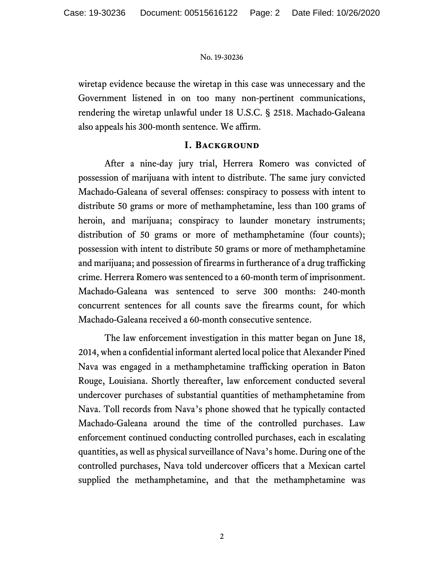wiretap evidence because the wiretap in this case was unnecessary and the Government listened in on too many non-pertinent communications, rendering the wiretap unlawful under 18 U.S.C. § 2518. Machado-Galeana also appeals his 300-month sentence. We affirm.

### **I. Background**

After a nine-day jury trial, Herrera Romero was convicted of possession of marijuana with intent to distribute. The same jury convicted Machado-Galeana of several offenses: conspiracy to possess with intent to distribute 50 grams or more of methamphetamine, less than 100 grams of heroin, and marijuana; conspiracy to launder monetary instruments; distribution of 50 grams or more of methamphetamine (four counts); possession with intent to distribute 50 grams or more of methamphetamine and marijuana; and possession of firearms in furtherance of a drug trafficking crime. Herrera Romero was sentenced to a 60-month term of imprisonment. Machado-Galeana was sentenced to serve 300 months: 240-month concurrent sentences for all counts save the firearms count, for which Machado-Galeana received a 60-month consecutive sentence.

The law enforcement investigation in this matter began on June 18, 2014, when a confidential informant alerted local police that Alexander Pined Nava was engaged in a methamphetamine trafficking operation in Baton Rouge, Louisiana. Shortly thereafter, law enforcement conducted several undercover purchases of substantial quantities of methamphetamine from Nava. Toll records from Nava's phone showed that he typically contacted Machado-Galeana around the time of the controlled purchases. Law enforcement continued conducting controlled purchases, each in escalating quantities, as well as physical surveillance of Nava's home. During one of the controlled purchases, Nava told undercover officers that a Mexican cartel supplied the methamphetamine, and that the methamphetamine was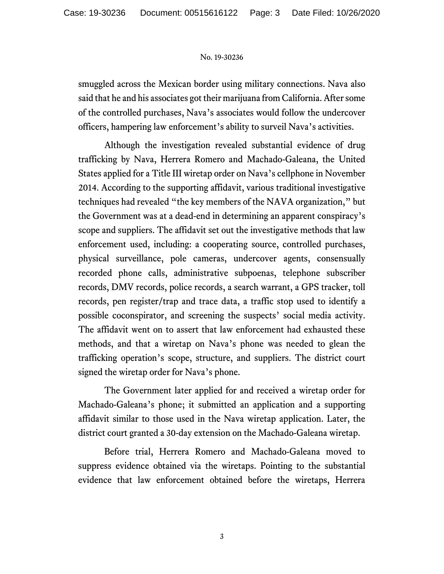smuggled across the Mexican border using military connections. Nava also said that he and his associates got their marijuana from California. After some of the controlled purchases, Nava's associates would follow the undercover officers, hampering law enforcement's ability to surveil Nava's activities.

Although the investigation revealed substantial evidence of drug trafficking by Nava, Herrera Romero and Machado-Galeana, the United States applied for a Title III wiretap order on Nava's cellphone in November 2014. According to the supporting affidavit, various traditional investigative techniques had revealed "the key members of the NAVA organization," but the Government was at a dead-end in determining an apparent conspiracy's scope and suppliers. The affidavit set out the investigative methods that law enforcement used, including: a cooperating source, controlled purchases, physical surveillance, pole cameras, undercover agents, consensually recorded phone calls, administrative subpoenas, telephone subscriber records, DMV records, police records, a search warrant, a GPS tracker, toll records, pen register/trap and trace data, a traffic stop used to identify a possible coconspirator, and screening the suspects' social media activity. The affidavit went on to assert that law enforcement had exhausted these methods, and that a wiretap on Nava's phone was needed to glean the trafficking operation's scope, structure, and suppliers. The district court signed the wiretap order for Nava's phone.

The Government later applied for and received a wiretap order for Machado-Galeana's phone; it submitted an application and a supporting affidavit similar to those used in the Nava wiretap application. Later, the district court granted a 30-day extension on the Machado-Galeana wiretap.

Before trial, Herrera Romero and Machado-Galeana moved to suppress evidence obtained via the wiretaps. Pointing to the substantial evidence that law enforcement obtained before the wiretaps, Herrera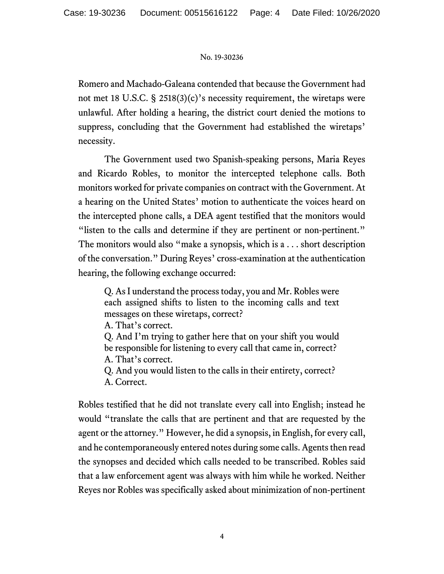Romero and Machado-Galeana contended that because the Government had not met 18 U.S.C. § 2518(3)(c)'s necessity requirement, the wiretaps were unlawful. After holding a hearing, the district court denied the motions to suppress, concluding that the Government had established the wiretaps' necessity.

The Government used two Spanish-speaking persons, Maria Reyes and Ricardo Robles, to monitor the intercepted telephone calls. Both monitors worked for private companies on contract with the Government. At a hearing on the United States' motion to authenticate the voices heard on the intercepted phone calls, a DEA agent testified that the monitors would "listen to the calls and determine if they are pertinent or non-pertinent." The monitors would also "make a synopsis, which is a . . . short description of the conversation." During Reyes' cross-examination at the authentication hearing, the following exchange occurred:

Q. As I understand the process today, you and Mr. Robles were each assigned shifts to listen to the incoming calls and text messages on these wiretaps, correct?

A. That's correct.

Q. And I'm trying to gather here that on your shift you would be responsible for listening to every call that came in, correct? A. That's correct.

Q. And you would listen to the calls in their entirety, correct? A. Correct.

Robles testified that he did not translate every call into English; instead he would "translate the calls that are pertinent and that are requested by the agent or the attorney." However, he did a synopsis, in English, for every call, and he contemporaneously entered notes during some calls. Agents then read the synopses and decided which calls needed to be transcribed. Robles said that a law enforcement agent was always with him while he worked. Neither Reyes nor Robles was specifically asked about minimization of non-pertinent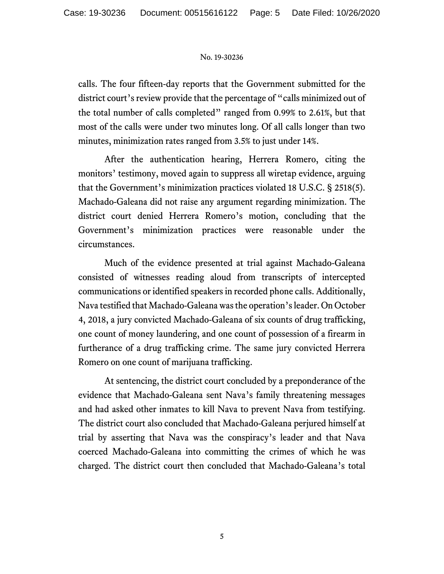calls. The four fifteen-day reports that the Government submitted for the district court's review provide that the percentage of "calls minimized out of the total number of calls completed" ranged from 0.99% to 2.61%, but that most of the calls were under two minutes long. Of all calls longer than two minutes, minimization rates ranged from 3.5% to just under 14%.

After the authentication hearing, Herrera Romero, citing the monitors' testimony, moved again to suppress all wiretap evidence, arguing that the Government's minimization practices violated 18 U.S.C. § 2518(5). Machado-Galeana did not raise any argument regarding minimization. The district court denied Herrera Romero's motion, concluding that the Government's minimization practices were reasonable under the circumstances.

Much of the evidence presented at trial against Machado-Galeana consisted of witnesses reading aloud from transcripts of intercepted communications or identified speakers in recorded phone calls. Additionally, Nava testified that Machado-Galeana was the operation's leader. On October 4, 2018, a jury convicted Machado-Galeana of six counts of drug trafficking, one count of money laundering, and one count of possession of a firearm in furtherance of a drug trafficking crime. The same jury convicted Herrera Romero on one count of marijuana trafficking.

At sentencing, the district court concluded by a preponderance of the evidence that Machado-Galeana sent Nava's family threatening messages and had asked other inmates to kill Nava to prevent Nava from testifying. The district court also concluded that Machado-Galeana perjured himself at trial by asserting that Nava was the conspiracy's leader and that Nava coerced Machado-Galeana into committing the crimes of which he was charged. The district court then concluded that Machado-Galeana's total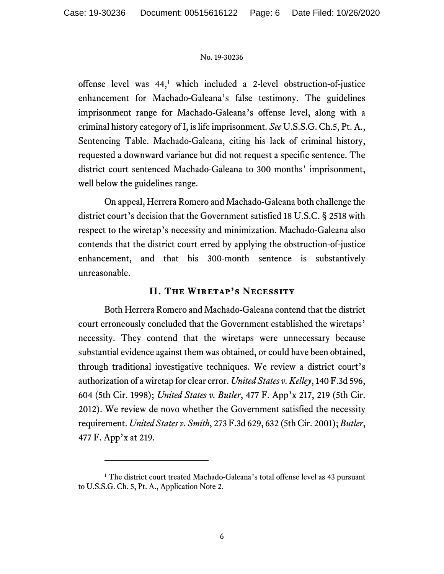offense level was  $44<sup>1</sup>$  $44<sup>1</sup>$  $44<sup>1</sup>$  which included a 2-level obstruction-of-justice enhancement for Machado-Galeana's false testimony. The guidelines imprisonment range for Machado-Galeana's offense level, along with a criminal history category of I, is life imprisonment. *See* U.S.S.G. Ch.5, Pt. A., Sentencing Table. Machado-Galeana, citing his lack of criminal history, requested a downward variance but did not request a specific sentence. The district court sentenced Machado-Galeana to 300 months' imprisonment, well below the guidelines range.

On appeal, Herrera Romero and Machado-Galeana both challenge the district court's decision that the Government satisfied 18 U.S.C. § 2518 with respect to the wiretap's necessity and minimization. Machado-Galeana also contends that the district court erred by applying the obstruction-of-justice enhancement, and that his 300-month sentence is substantively unreasonable.

### **II. The Wiretap's Necessity**

Both Herrera Romero and Machado-Galeana contend that the district court erroneously concluded that the Government established the wiretaps' necessity. They contend that the wiretaps were unnecessary because substantial evidence against them was obtained, or could have been obtained, through traditional investigative techniques. We review a district court's authorization of a wiretap for clear error. *United States v. Kelley*, 140 F.3d 596, 604 (5th Cir. 1998); *United States v. Butler*, 477 F. App'x 217, 219 (5th Cir. 2012). We review de novo whether the Government satisfied the necessity requirement. *United States v. Smith*, 273 F.3d 629, 632 (5th Cir. 2001); *Butler*, 477 F. App'x at 219.

<span id="page-5-0"></span><sup>&</sup>lt;sup>1</sup> The district court treated Machado-Galeana's total offense level as 43 pursuant to U.S.S.G. Ch. 5, Pt. A., Application Note 2.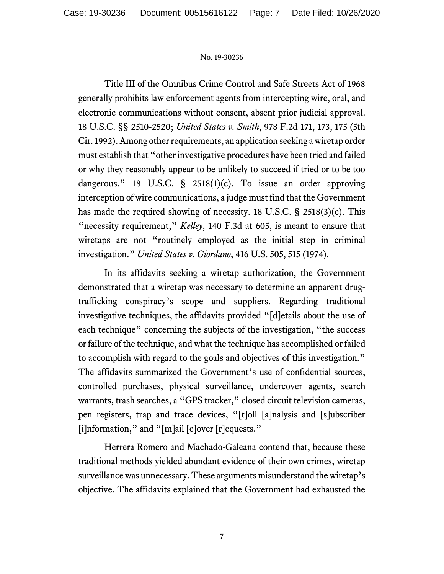Title III of the Omnibus Crime Control and Safe Streets Act of 1968 generally prohibits law enforcement agents from intercepting wire, oral, and electronic communications without consent, absent prior judicial approval. 18 U.S.C. §§ 2510-2520; *United States v. Smith*, 978 F.2d 171, 173, 175 (5th Cir. 1992). Among other requirements, an application seeking a wiretap order must establish that "other investigative procedures have been tried and failed or why they reasonably appear to be unlikely to succeed if tried or to be too dangerous." 18 U.S.C. § 2518(1)(c). To issue an order approving interception of wire communications, a judge must find that the Government has made the required showing of necessity. 18 U.S.C. § 2518(3)(c). This "necessity requirement," *Kelley*, 140 F.3d at 605, is meant to ensure that wiretaps are not "routinely employed as the initial step in criminal investigation." *United States v. Giordano*, 416 U.S. 505, 515 (1974).

In its affidavits seeking a wiretap authorization, the Government demonstrated that a wiretap was necessary to determine an apparent drugtrafficking conspiracy's scope and suppliers. Regarding traditional investigative techniques, the affidavits provided "[d]etails about the use of each technique" concerning the subjects of the investigation, "the success or failure of the technique, and what the technique has accomplished or failed to accomplish with regard to the goals and objectives of this investigation." The affidavits summarized the Government's use of confidential sources, controlled purchases, physical surveillance, undercover agents, search warrants, trash searches, a "GPS tracker," closed circuit television cameras, pen registers, trap and trace devices, "[t]oll [a]nalysis and [s]ubscriber [i]nformation," and "[m]ail [c]over [r]equests."

Herrera Romero and Machado-Galeana contend that, because these traditional methods yielded abundant evidence of their own crimes, wiretap surveillance was unnecessary. These arguments misunderstand the wiretap's objective. The affidavits explained that the Government had exhausted the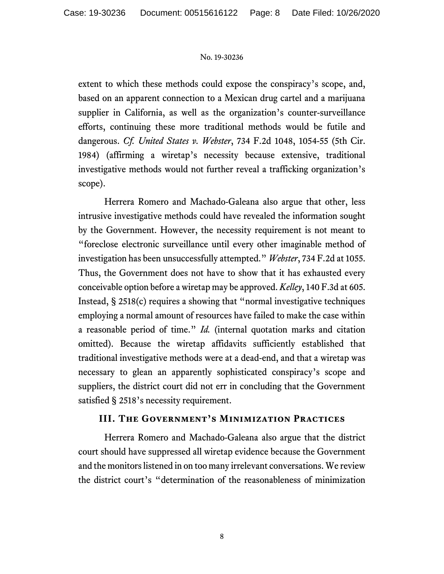extent to which these methods could expose the conspiracy's scope, and, based on an apparent connection to a Mexican drug cartel and a marijuana supplier in California, as well as the organization's counter-surveillance efforts, continuing these more traditional methods would be futile and dangerous. *Cf. United States v. Webster*, 734 F.2d 1048, 1054-55 (5th Cir. 1984) (affirming a wiretap's necessity because extensive, traditional investigative methods would not further reveal a trafficking organization's scope).

Herrera Romero and Machado-Galeana also argue that other, less intrusive investigative methods could have revealed the information sought by the Government. However, the necessity requirement is not meant to "foreclose electronic surveillance until every other imaginable method of investigation has been unsuccessfully attempted." *Webster*, 734 F.2d at 1055. Thus, the Government does not have to show that it has exhausted every conceivable option before a wiretap may be approved. *Kelley*, 140 F.3d at 605. Instead, § 2518(c) requires a showing that "normal investigative techniques employing a normal amount of resources have failed to make the case within a reasonable period of time." *Id.* (internal quotation marks and citation omitted). Because the wiretap affidavits sufficiently established that traditional investigative methods were at a dead-end, and that a wiretap was necessary to glean an apparently sophisticated conspiracy's scope and suppliers, the district court did not err in concluding that the Government satisfied § 2518's necessity requirement.

### **III. The Government's Minimization Practices**

Herrera Romero and Machado-Galeana also argue that the district court should have suppressed all wiretap evidence because the Government and the monitors listened in on too many irrelevant conversations. We review the district court's "determination of the reasonableness of minimization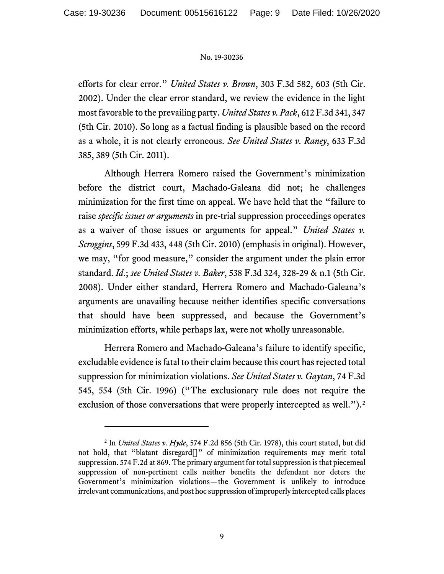efforts for clear error." *United States v. Brown*, 303 F.3d 582, 603 (5th Cir. 2002). Under the clear error standard, we review the evidence in the light most favorable to the prevailing party. *United States v. Pack*, 612 F.3d 341, 347 (5th Cir. 2010). So long as a factual finding is plausible based on the record as a whole, it is not clearly erroneous. *See United States v. Raney*, 633 F.3d 385, 389 (5th Cir. 2011).

Although Herrera Romero raised the Government's minimization before the district court, Machado-Galeana did not; he challenges minimization for the first time on appeal. We have held that the "failure to raise *specific issues or arguments* in pre-trial suppression proceedings operates as a waiver of those issues or arguments for appeal." *United States v. Scroggins*, 599 F.3d 433, 448 (5th Cir. 2010) (emphasis in original). However, we may, "for good measure," consider the argument under the plain error standard. *Id*.; *see United States v. Baker*, 538 F.3d 324, 328-29 & n.1 (5th Cir. 2008). Under either standard, Herrera Romero and Machado-Galeana's arguments are unavailing because neither identifies specific conversations that should have been suppressed, and because the Government's minimization efforts, while perhaps lax, were not wholly unreasonable.

Herrera Romero and Machado-Galeana's failure to identify specific, excludable evidence is fatal to their claim because this court has rejected total suppression for minimization violations. *See United States v. Gaytan*, 74 F.3d 545, 554 (5th Cir. 1996) ("The exclusionary rule does not require the exclusion of those conversations that were properly intercepted as well.").<sup>[2](#page-8-0)</sup>

<span id="page-8-0"></span><sup>2</sup> In *United States v. Hyde*, 574 F.2d 856 (5th Cir. 1978), this court stated, but did not hold, that "blatant disregard[]" of minimization requirements may merit total suppression. 574 F.2d at 869. The primary argument for total suppression is that piecemeal suppression of non-pertinent calls neither benefits the defendant nor deters the Government's minimization violations—the Government is unlikely to introduce irrelevant communications, and post hoc suppression of improperly intercepted calls places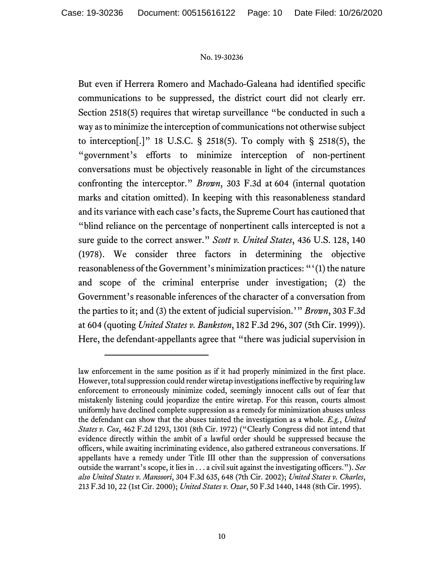But even if Herrera Romero and Machado-Galeana had identified specific communications to be suppressed, the district court did not clearly err. Section 2518(5) requires that wiretap surveillance "be conducted in such a way as to minimize the interception of communications not otherwise subject to interception[.]" 18 U.S.C. § 2518(5). To comply with § 2518(5), the "government's efforts to minimize interception of non-pertinent conversations must be objectively reasonable in light of the circumstances confronting the interceptor." *Brown*, 303 F.3d at 604 (internal quotation marks and citation omitted). In keeping with this reasonableness standard and its variance with each case's facts, the Supreme Court has cautioned that "blind reliance on the percentage of nonpertinent calls intercepted is not a sure guide to the correct answer." *Scott v. United States*, 436 U.S. 128, 140 (1978). We consider three factors in determining the objective reasonableness of the Government's minimization practices: "'(1) the nature and scope of the criminal enterprise under investigation; (2) the Government's reasonable inferences of the character of a conversation from the parties to it; and (3) the extent of judicial supervision.'" *Brown*, 303 F.3d at 604 (quoting *United States v. Bankston*, 182 F.3d 296, 307 (5th Cir. 1999)). Here, the defendant-appellants agree that "there was judicial supervision in

law enforcement in the same position as if it had properly minimized in the first place. However, total suppression could render wiretap investigations ineffective by requiring law enforcement to erroneously minimize coded, seemingly innocent calls out of fear that mistakenly listening could jeopardize the entire wiretap. For this reason, courts almost uniformly have declined complete suppression as a remedy for minimization abuses unless the defendant can show that the abuses tainted the investigation as a whole. *E.g.*, *United States v. Cox*, 462 F.2d 1293, 1301 (8th Cir. 1972) ("Clearly Congress did not intend that evidence directly within the ambit of a lawful order should be suppressed because the officers, while awaiting incriminating evidence, also gathered extraneous conversations. If appellants have a remedy under Title III other than the suppression of conversations outside the warrant's scope, it lies in . . . a civil suit against the investigating officers."). *See also United States v. Mansoori*, 304 F.3d 635, 648 (7th Cir. 2002); *United States v. Charles*, 213 F.3d 10, 22 (1st Cir. 2000); *United States v. Ozar*, 50 F.3d 1440, 1448 (8th Cir. 1995).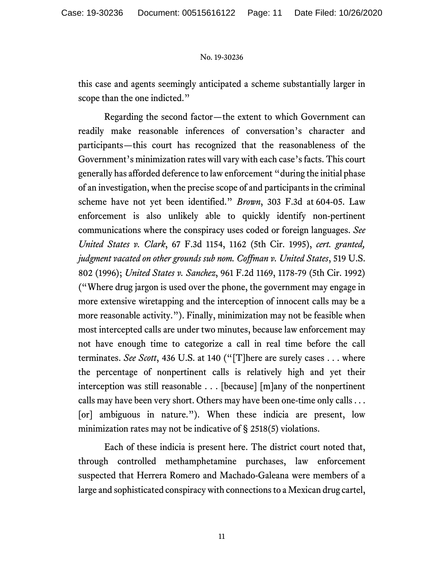this case and agents seemingly anticipated a scheme substantially larger in scope than the one indicted."

Regarding the second factor—the extent to which Government can readily make reasonable inferences of conversation's character and participants—this court has recognized that the reasonableness of the Government's minimization rates will vary with each case's facts. This court generally has afforded deference to law enforcement "during the initial phase of an investigation, when the precise scope of and participants in the criminal scheme have not yet been identified." *Brown*, 303 F.3d at 604-05. Law enforcement is also unlikely able to quickly identify non-pertinent communications where the conspiracy uses coded or foreign languages. *See United States v. Clark*, 67 F.3d 1154, 1162 (5th Cir. 1995), *cert. granted, judgment vacated on other grounds sub nom. Coffman v. United States*, 519 U.S. 802 (1996); *United States v. Sanchez*, 961 F.2d 1169, 1178-79 (5th Cir. 1992) ("Where drug jargon is used over the phone, the government may engage in more extensive wiretapping and the interception of innocent calls may be a more reasonable activity."). Finally, minimization may not be feasible when most intercepted calls are under two minutes, because law enforcement may not have enough time to categorize a call in real time before the call terminates. *See Scott*, 436 U.S. at 140 ("[T]here are surely cases . . . where the percentage of nonpertinent calls is relatively high and yet their interception was still reasonable . . . [because] [m]any of the nonpertinent calls may have been very short. Others may have been one-time only calls . . . [or] ambiguous in nature."). When these indicia are present, low minimization rates may not be indicative of § 2518(5) violations.

Each of these indicia is present here. The district court noted that, through controlled methamphetamine purchases, law enforcement suspected that Herrera Romero and Machado-Galeana were members of a large and sophisticated conspiracy with connections to a Mexican drug cartel,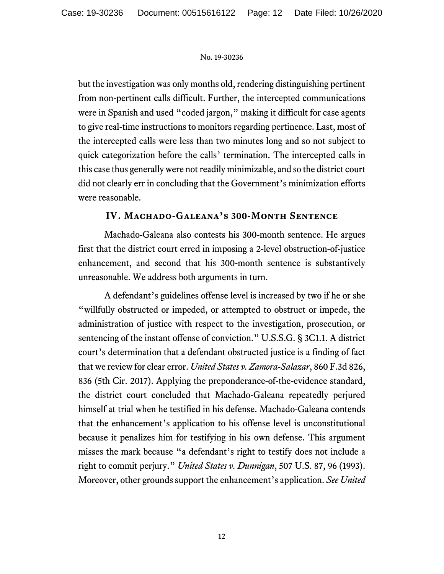but the investigation was only months old, rendering distinguishing pertinent from non-pertinent calls difficult. Further, the intercepted communications were in Spanish and used "coded jargon," making it difficult for case agents to give real-time instructions to monitors regarding pertinence. Last, most of the intercepted calls were less than two minutes long and so not subject to quick categorization before the calls' termination. The intercepted calls in this case thus generally were not readily minimizable, and so the district court did not clearly err in concluding that the Government's minimization efforts were reasonable.

## **IV. Machado-Galeana's 300-Month Sentence**

Machado-Galeana also contests his 300-month sentence. He argues first that the district court erred in imposing a 2-level obstruction-of-justice enhancement, and second that his 300-month sentence is substantively unreasonable. We address both arguments in turn.

A defendant's guidelines offense level is increased by two if he or she "willfully obstructed or impeded, or attempted to obstruct or impede, the administration of justice with respect to the investigation, prosecution, or sentencing of the instant offense of conviction." U.S.S.G. § 3C1.1. A district court's determination that a defendant obstructed justice is a finding of fact that we review for clear error. *United States v. Zamora-Salazar*, 860 F.3d 826, 836 (5th Cir. 2017). Applying the preponderance-of-the-evidence standard, the district court concluded that Machado-Galeana repeatedly perjured himself at trial when he testified in his defense. Machado-Galeana contends that the enhancement's application to his offense level is unconstitutional because it penalizes him for testifying in his own defense. This argument misses the mark because "a defendant's right to testify does not include a right to commit perjury." *United States v. Dunnigan*, 507 U.S. 87, 96 (1993). Moreover, other grounds support the enhancement's application. *See United*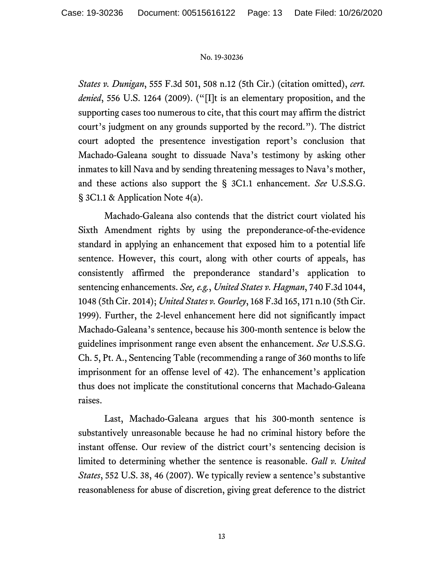*States v. Dunigan*, 555 F.3d 501, 508 n.12 (5th Cir.) (citation omitted), *cert. denied*, 556 U.S. 1264 (2009). ("[I]t is an elementary proposition, and the supporting cases too numerous to cite, that this court may affirm the district court's judgment on any grounds supported by the record."). The district court adopted the presentence investigation report's conclusion that Machado-Galeana sought to dissuade Nava's testimony by asking other inmates to kill Nava and by sending threatening messages to Nava's mother, and these actions also support the § 3C1.1 enhancement. *See* U.S.S.G. § 3C1.1 & Application Note 4(a).

Machado-Galeana also contends that the district court violated his Sixth Amendment rights by using the preponderance-of-the-evidence standard in applying an enhancement that exposed him to a potential life sentence. However, this court, along with other courts of appeals, has consistently affirmed the preponderance standard's application to sentencing enhancements. *See, e.g.*, *United States v. Hagman*, 740 F.3d 1044, 1048 (5th Cir. 2014); *United States v. Gourley*, 168 F.3d 165, 171 n.10 (5th Cir. 1999). Further, the 2-level enhancement here did not significantly impact Machado-Galeana's sentence, because his 300-month sentence is below the guidelines imprisonment range even absent the enhancement. *See* U.S.S.G. Ch. 5, Pt. A., Sentencing Table (recommending a range of 360 months to life imprisonment for an offense level of 42). The enhancement's application thus does not implicate the constitutional concerns that Machado-Galeana raises.

Last, Machado-Galeana argues that his 300-month sentence is substantively unreasonable because he had no criminal history before the instant offense. Our review of the district court's sentencing decision is limited to determining whether the sentence is reasonable. *Gall v. United States*, 552 U.S. 38, 46 (2007). We typically review a sentence's substantive reasonableness for abuse of discretion, giving great deference to the district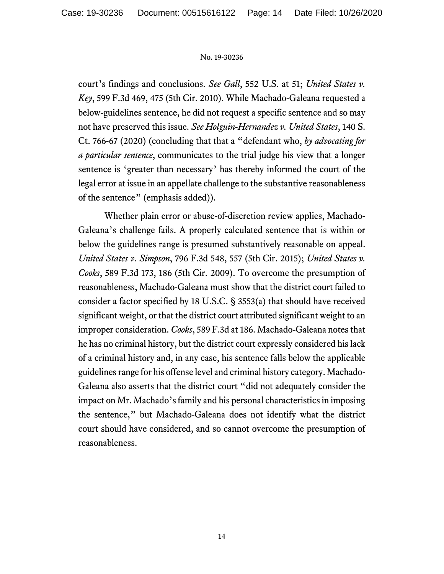court's findings and conclusions. *See Gall*, 552 U.S. at 51; *United States v. Key*, 599 F.3d 469, 475 (5th Cir. 2010). While Machado-Galeana requested a below-guidelines sentence, he did not request a specific sentence and so may not have preserved this issue. *See Holguin-Hernandez v. United States*, 140 S. Ct. 766-67 (2020) (concluding that that a "defendant who, *by advocating for a particular sentence*, communicates to the trial judge his view that a longer sentence is 'greater than necessary' has thereby informed the court of the legal error at issue in an appellate challenge to the substantive reasonableness of the sentence" (emphasis added)).

Whether plain error or abuse-of-discretion review applies, Machado-Galeana's challenge fails. A properly calculated sentence that is within or below the guidelines range is presumed substantively reasonable on appeal. *United States v. Simpson*, 796 F.3d 548, 557 (5th Cir. 2015); *United States v. Cooks*, 589 F.3d 173, 186 (5th Cir. 2009). To overcome the presumption of reasonableness, Machado-Galeana must show that the district court failed to consider a factor specified by 18 U.S.C. § 3553(a) that should have received significant weight, or that the district court attributed significant weight to an improper consideration. *Cooks*, 589 F.3d at 186. Machado-Galeana notes that he has no criminal history, but the district court expressly considered his lack of a criminal history and, in any case, his sentence falls below the applicable guidelines range for his offense level and criminal history category. Machado-Galeana also asserts that the district court "did not adequately consider the impact on Mr. Machado's family and his personal characteristics in imposing the sentence," but Machado-Galeana does not identify what the district court should have considered, and so cannot overcome the presumption of reasonableness.